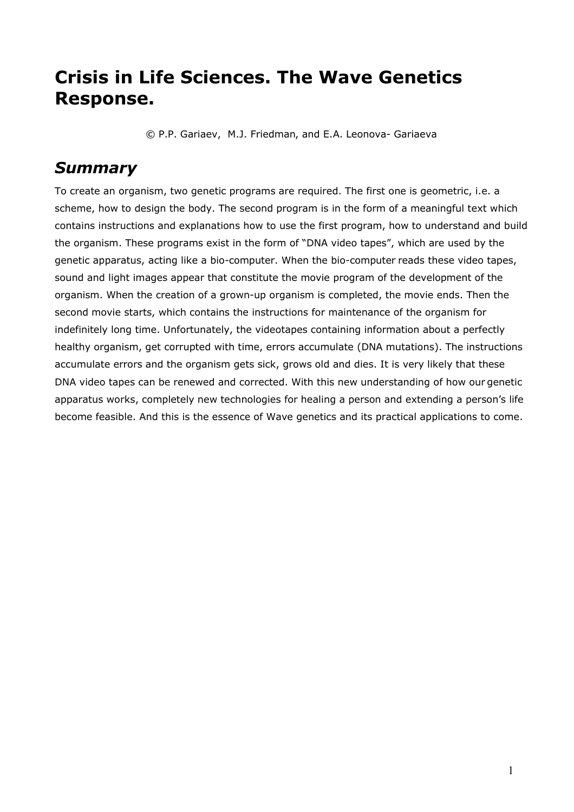## **Crisis in Life Sciences. The Wave Genetics Response.**

© P.P. Gariaev, M.J. Friedman, and E.A. Leonova- Gariaeva

## *Summary*

To create an organism, two genetic programs are required. The first one is geometric, i.e. a scheme, how to design the body. The second program is in the form of a meaningful text which contains instructions and explanations how to use the first program, how to understand and build the organism. These programs exist in the form of "DNA video tapes", which are used by the genetic apparatus, acting like a bio-computer. When the bio-computer reads these video tapes, sound and light images appear that constitute the movie program of the development of the organism. When the creation of a grown-up organism is completed, the movie ends. Then the second movie starts, which contains the instructions for maintenance of the organism for indefinitely long time. Unfortunately, the videotapes containing information about a perfectly healthy organism, get corrupted with time, errors accumulate (DNA mutations). The instructions accumulate errors and the organism gets sick, grows old and dies. It is very likely that these DNA video tapes can be renewed and corrected. With this new understanding of how our genetic apparatus works, completely new technologies for healing a person and extending a person's life become feasible. And this is the essence of Wave genetics and its practical applications to come.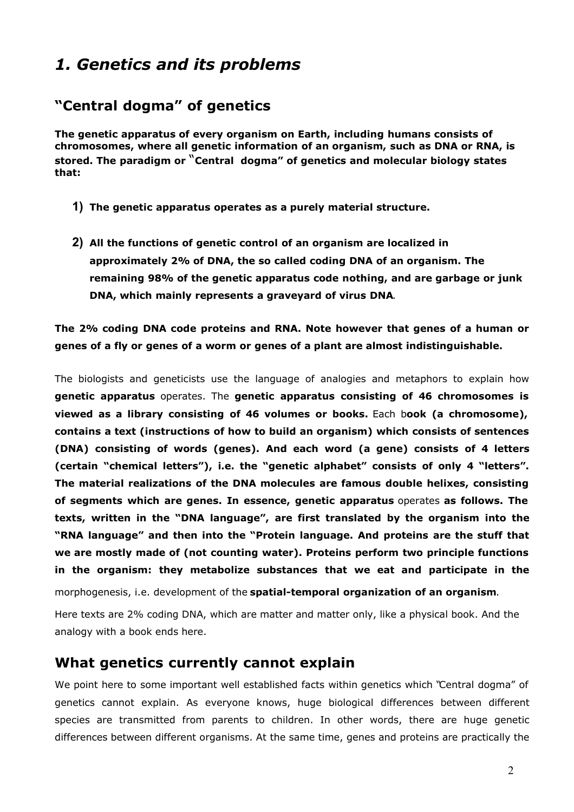## *1. Genetics and its problems*

### **"Central dogma" of genetics**

**The genetic apparatus of every organism on Earth, including humans consists of chromosomes, where all genetic information of an organism, such as DNA or RNA, is stored. The paradigm or** "**Central dogma" of genetics and molecular biology states that:**

- **1) The genetic apparatus operates as a purely material structure.**
- **2) All the functions of genetic control of an organism are localized in approximately 2% of DNA, the so called coding DNA of an organism. The remaining 98% of the genetic apparatus code nothing, and are garbage or junk DNA, which mainly represents a graveyard of virus DNA**.

**The 2% coding DNA code proteins and RNA. Note however that genes of a human or genes of a fly or genes of a worm or genes of a plant are almost indistinguishable.**

The biologists and geneticists use the language of analogies and metaphors to explain how **genetic apparatus** operates. The **genetic apparatus consisting of 46 chromosomes is viewed as a library consisting of 46 volumes or books.** Each b**ook (a chromosome), contains a text (instructions of how to build an organism) which consists of sentences (DNA) consisting of words (genes). And each word (a gene) consists of 4 letters (certain "chemical letters"), i.e. the "genetic alphabet" consists of only 4 "letters". The material realizations of the DNA molecules are famous double helixes, consisting of segments which are genes. In essence, genetic apparatus** operates **as follows. The texts, written in the "DNA language", are first translated by the organism into the "RNA language" and then into the "Protein language. And proteins are the stuff that we are mostly made of (not counting water). Proteins perform two principle functions in the organism: they metabolize substances that we eat and participate in the**

morphogenesis, i.e. development of the **spatial-temporal organization of an organism**.

Here texts are 2% coding DNA, which are matter and matter only, like a physical book. And the analogy with a book ends here.

#### **What genetics currently cannot explain**

We point here to some important well established facts within genetics which "Central dogma" of genetics cannot explain. As everyone knows, huge biological differences between different species are transmitted from parents to children. In other words, there are huge genetic differences between different organisms. At the same time, genes and proteins are practically the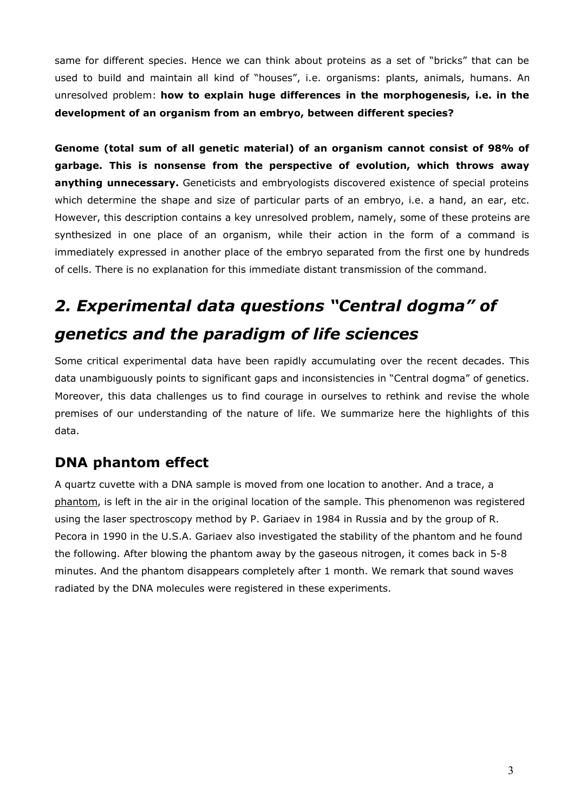same for different species. Hence we can think about proteins as a set of "bricks" that can be used to build and maintain all kind of "houses", i.e. organisms: plants, animals, humans. An unresolved problem: **how to explain huge differences in the morphogenesis, i.e. in the development of an organism from an embryo, between different species?**

**Genome (total sum of all genetic material) of an organism cannot consist of 98% of garbage. This is nonsense from the perspective of evolution, which throws away anything unnecessary.** Geneticists and embryologists discovered existence of special proteins which determine the shape and size of particular parts of an embryo, i.e. a hand, an ear, etc. However, this description contains a key unresolved problem, namely, some of these proteins are synthesized in one place of an organism, while their action in the form of a command is immediately expressed in another place of the embryo separated from the first one by hundreds of cells. There is no explanation for this immediate distant transmission of the command.

# *2. Experimental data questions "Central dogma" of genetics and the paradigm of life sciences*

Some critical experimental data have been rapidly accumulating over the recent decades. This data unambiguously points to significant gaps and inconsistencies in "Central dogma" of genetics. Moreover, this data challenges us to find courage in ourselves to rethink and revise the whole premises of our understanding of the nature of life. We summarize here the highlights of this data.

## **DNA phantom effect**

A quartz cuvette with a DNA sample is moved from one location to another. And a trace, a phantom, is left in the air in the original location of the sample. This phenomenon was registered using the laser spectroscopy method by P. Gariaev in 1984 in Russia and by the group of R. Pecora in 1990 in the U.S.A. Gariaev also investigated the stability of the phantom and he found the following. After blowing the phantom away by the gaseous nitrogen, it comes back in 5-8 minutes. And the phantom disappears completely after 1 month. We remark that sound waves radiated by the DNA molecules were registered in these experiments.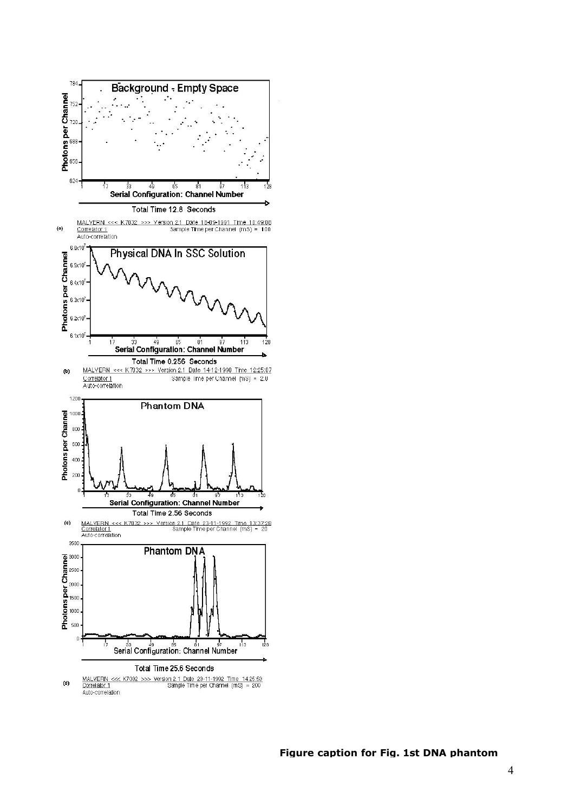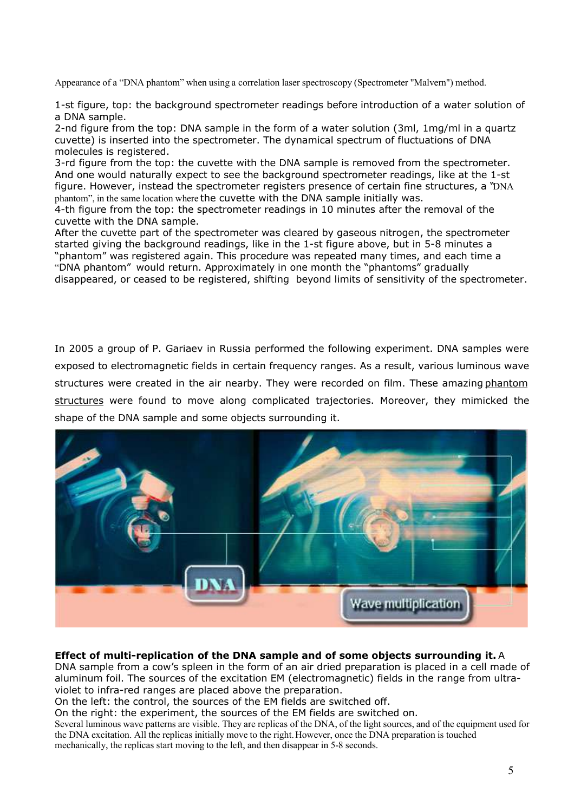Appearance of a "DNA phantom" when using a correlation laser spectroscopy (Spectrometer "Malvern") method.

1-st figure, top: the background spectrometer readings before introduction of a water solution of a DNA sample.

2-nd figure from the top: DNA sample in the form of a water solution (3ml, 1mg/ml in a quartz cuvette) is inserted into the spectrometer. The dynamical spectrum of fluctuations of DNA molecules is registered.

3-rd figure from the top: the cuvette with the DNA sample is removed from the spectrometer. And one would naturally expect to see the background spectrometer readings, like at the 1-st figure. However, instead the spectrometer registers presence of certain fine structures, a "DNA phantom", in the same location where the cuvette with the DNA sample initially was.

4-th figure from the top: the spectrometer readings in 10 minutes after the removal of the cuvette with the DNA sample.

After the cuvette part of the spectrometer was cleared by gaseous nitrogen, the spectrometer started giving the background readings, like in the 1-st figure above, but in 5-8 minutes a "phantom" was registered again. This procedure was repeated many times, and each time a "DNA phantom" would return. Approximately in one month the "phantoms" gradually disappeared, or ceased to be registered, shifting beyond limits of sensitivity of the spectrometer.

In 2005 a group of P. Gariaev in Russia performed the following experiment. DNA samples were exposed to electromagnetic fields in certain frequency ranges. As a result, various luminous wave structures were created in the air nearby. They were recorded on film. These amazing phantom structures were found to move along complicated trajectories. Moreover, they mimicked the shape of the DNA sample and some objects surrounding it.



#### **Effect of multi-replication of the DNA sample and of some objects surrounding it.** A

DNA sample from a cow's spleen in the form of an air dried preparation is placed in a cell made of aluminum foil. The sources of the excitation EM (electromagnetic) fields in the range from ultraviolet to infra-red ranges are placed above the preparation.

On the left: the control, the sources of the EM fields are switched off.

On the right: the experiment, the sources of the EM fields are switched on.

Several luminous wave patterns are visible. They are replicas of the DNA, of the light sources, and of the equipment used for the DNA excitation. All the replicas initially move to the right. However, once the DNA preparation is touched mechanically, the replicas start moving to the left, and then disappear in 5-8 seconds.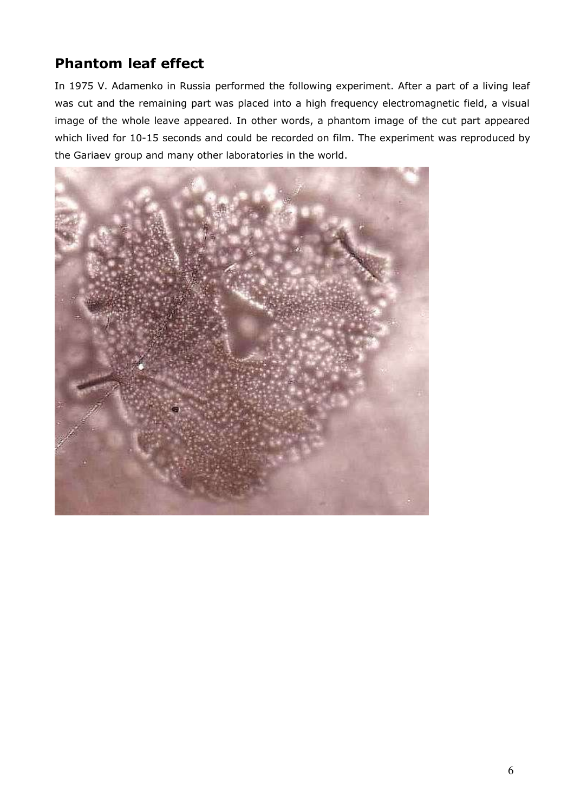## **Phantom leaf effect**

In 1975 V. Adamenko in Russia performed the following experiment. After a part of a living leaf was cut and the remaining part was placed into a high frequency electromagnetic field, a visual image of the whole leave appeared. In other words, a phantom image of the cut part appeared which lived for 10-15 seconds and could be recorded on film. The experiment was reproduced by the Gariaev group and many other laboratories in the world.

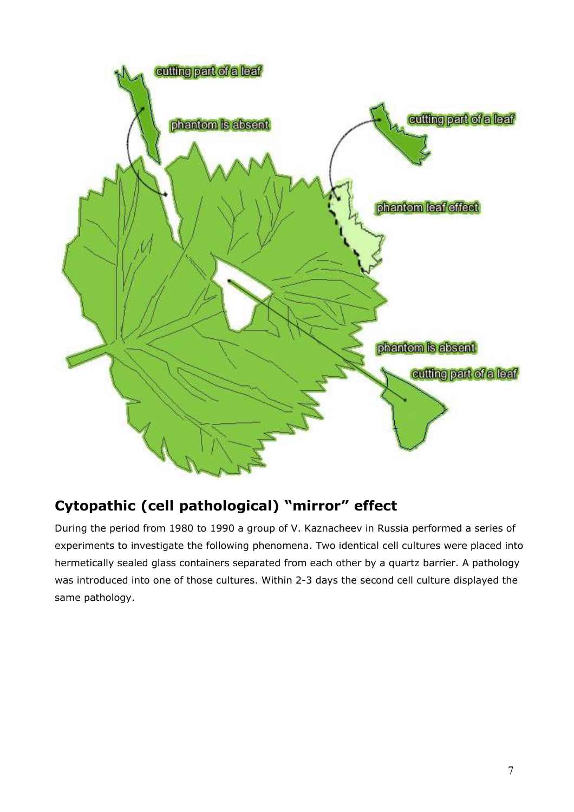

## **Cytopathic (cell pathological) "mirror" effect**

During the period from 1980 to 1990 a group of V. Kaznacheev in Russia performed a series of experiments to investigate the following phenomena. Two identical cell cultures were placed into hermetically sealed glass containers separated from each other by a quartz barrier. A pathology was introduced into one of those cultures. Within 2-3 days the second cell culture displayed the same pathology.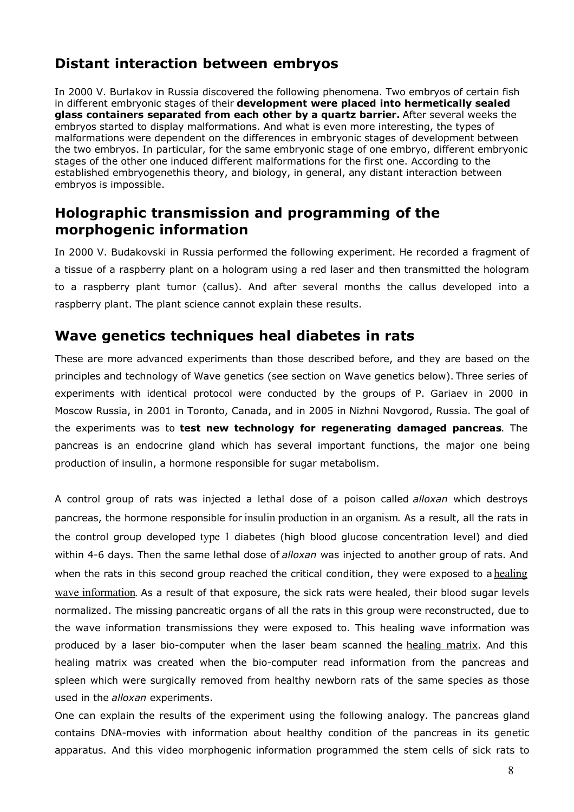## **Distant interaction between embryos**

In 2000 V. Burlakov in Russia discovered the following phenomena. Two embryos of certain fish in different embryonic stages of their **development were placed into hermetically sealed glass containers separated from each other by a quartz barrier.** After several weeks the embryos started to display malformations. And what is even more interesting, the types of malformations were dependent on the differences in embryonic stages of development between the two embryos. In particular, for the same embryonic stage of one embryo, different embryonic stages of the other one induced different malformations for the first one. According to the established embryogenethis theory, and biology, in general, any distant interaction between embryos is impossible.

### **Holographic transmission and programming of the morphogenic information**

In 2000 V. Budakovski in Russia performed the following experiment. He recorded a fragment of a tissue of a raspberry plant on a hologram using a red laser and then transmitted the hologram to a raspberry plant tumor (callus). And after several months the callus developed into a raspberry plant. The plant science cannot explain these results.

#### **Wave genetics techniques heal diabetes in rats**

These are more advanced experiments than those described before, and they are based on the principles and technology of Wave genetics (see section on Wave genetics below). Three series of experiments with identical protocol were conducted by the groups of P. Gariaev in 2000 in Moscow Russia, in 2001 in Toronto, Canada, and in 2005 in Nizhni Novgorod, Russia. The goal of the experiments was to **test new technology for regenerating damaged pancreas**. The pancreas is an endocrine gland which has several important functions, the major one being production of insulin, a hormone responsible for sugar metabolism.

A control group of rats was injected a lethal dose of a poison called *alloxan* which destroys pancreas, the hormone responsible for insulin production in an organism. As a result, all the rats in the control group developed type 1 diabetes (high blood glucose concentration level) and died within 4-6 days. Then the same lethal dose of *alloxan* was injected to another group of rats. And when the rats in this second group reached the critical condition, they were exposed to a healing wave information. As a result of that exposure, the sick rats were healed, their blood sugar levels normalized. The missing pancreatic organs of all the rats in this group were reconstructed, due to the wave information transmissions they were exposed to. This healing wave information was produced by a laser bio-computer when the laser beam scanned the healing matrix. And this healing matrix was created when the bio-computer read information from the pancreas and spleen which were surgically removed from healthy newborn rats of the same species as those used in the *alloxan* experiments.

One can explain the results of the experiment using the following analogy. The pancreas gland contains DNA-movies with information about healthy condition of the pancreas in its genetic apparatus. And this video morphogenic information programmed the stem cells of sick rats to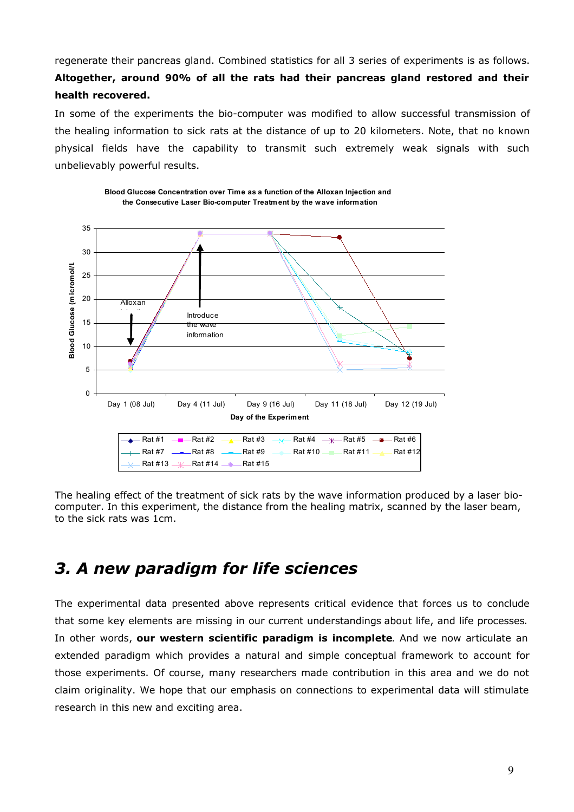regenerate their pancreas gland. Combined statistics for all 3 series of experiments is as follows. **Altogether, around 90% of all the rats had their pancreas gland restored and their health recovered.**

In some of the experiments the bio-computer was modified to allow successful transmission of the healing information to sick rats at the distance of up to 20 kilometers. Note, that no known physical fields have the capability to transmit such extremely weak signals with such unbelievably powerful results.



**Blood Glucose Concentration over Time as a function of the Alloxan Injection and the Consecutive Laser Bio-computer Treatment by the wave information**

The healing effect of the treatment of sick rats by the wave information produced by a laser biocomputer. In this experiment, the distance from the healing matrix, scanned by the laser beam, to the sick rats was 1cm.

## *3. A new paradigm for life sciences*

The experimental data presented above represents critical evidence that forces us to conclude that some key elements are missing in our current understandings about life, and life processes. In other words, **our western scientific paradigm is incomplete**. And we now articulate an extended paradigm which provides a natural and simple conceptual framework to account for those experiments. Of course, many researchers made contribution in this area and we do not claim originality. We hope that our emphasis on connections to experimental data will stimulate research in this new and exciting area.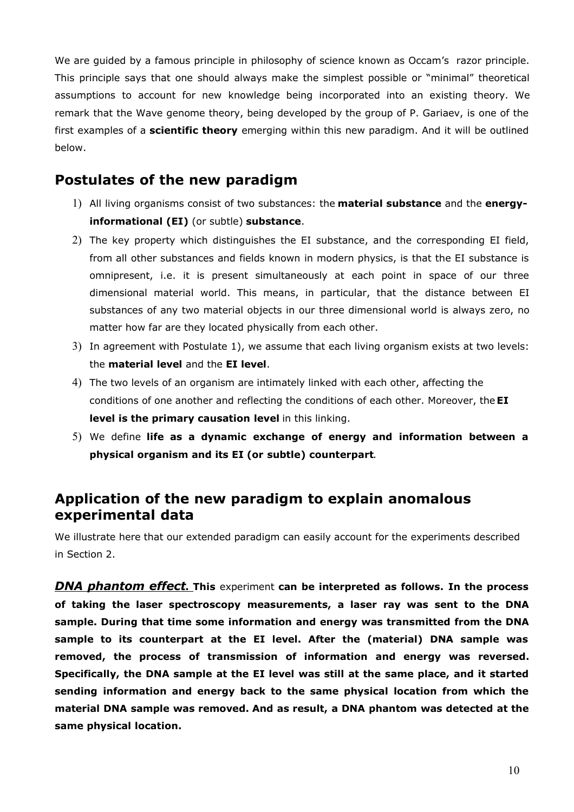We are guided by a famous principle in philosophy of science known as Occam's razor principle. This principle says that one should always make the simplest possible or "minimal" theoretical assumptions to account for new knowledge being incorporated into an existing theory. We remark that the Wave genome theory, being developed by the group of P. Gariaev, is one of the first examples of a **scientific theory** emerging within this new paradigm. And it will be outlined below.

#### **Postulates of the new paradigm**

- 1) All living organisms consist of two substances: the **material substance** and the **energyinformational (EI)** (or subtle) **substance**.
- 2) The key property which distinguishes the EI substance, and the corresponding EI field, from all other substances and fields known in modern physics, is that the EI substance is omnipresent, i.e. it is present simultaneously at each point in space of our three dimensional material world. This means, in particular, that the distance between EI substances of any two material objects in our three dimensional world is always zero, no matter how far are they located physically from each other.
- 3) In agreement with Postulate 1), we assume that each living organism exists at two levels: the **material level** and the **EI level**.
- 4) The two levels of an organism are intimately linked with each other, affecting the conditions of one another and reflecting the conditions of each other. Moreover, the **EI level is the primary causation level** in this linking.
- 5) We define **life as a dynamic exchange of energy and information between a physical organism and its EI (or subtle) counterpart**.

#### **Application of the new paradigm to explain anomalous experimental data**

We illustrate here that our extended paradigm can easily account for the experiments described in Section 2.

*DNA phantom effect***.****This** experiment **can be interpreted as follows. In the process of taking the laser spectroscopy measurements, a laser ray was sent to the DNA sample. During that time some information and energy was transmitted from the DNA sample to its counterpart at the EI level. After the (material) DNA sample was removed, the process of transmission of information and energy was reversed. Specifically, the DNA sample at the EI level was still at the same place, and it started sending information and energy back to the same physical location from which the material DNA sample was removed. And as result, a DNA phantom was detected at the same physical location.**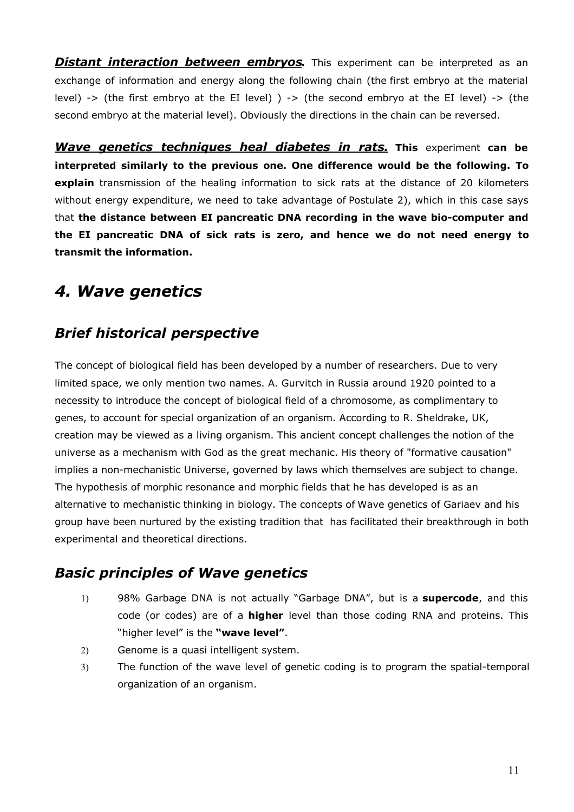**Distant interaction between embryos.** This experiment can be interpreted as an exchange of information and energy along the following chain (the first embryo at the material level) -> (the first embryo at the EI level) ) -> (the second embryo at the EI level) -> (the second embryo at the material level). Obviously the directions in the chain can be reversed.

*Wave genetics techniques heal diabetes in rats.* **This** experiment **can be interpreted similarly to the previous one. One difference would be the following. To explain** transmission of the healing information to sick rats at the distance of 20 kilometers without energy expenditure, we need to take advantage of Postulate 2), which in this case says that **the distance between EI pancreatic DNA recording in the wave bio-computer and the EI pancreatic DNA of sick rats is zero, and hence we do not need energy to transmit the information.**

## *4. Wave genetics*

### *Brief historical perspective*

The concept of biological field has been developed by a number of researchers. Due to very limited space, we only mention two names. A. Gurvitch in Russia around 1920 pointed to a necessity to introduce the concept of biological field of a chromosome, as complimentary to genes, to account for special organization of an organism. According to R. Sheldrake, UK, creation may be viewed as a living organism. This ancient concept challenges the notion of the universe as a mechanism with God as the great mechanic. His theory of "formative causation" implies a non-mechanistic Universe, governed by laws which themselves are subject to change. The hypothesis of morphic resonance and morphic fields that he has developed is as an alternative to mechanistic thinking in biology. The concepts of Wave genetics of Gariaev and his group have been nurtured by the existing tradition that has facilitated their breakthrough in both experimental and theoretical directions.

### *Basic principles of Wave genetics*

- 1) 98% Garbage DNA is not actually "Garbage DNA", but is a **supercode**, and this code (or codes) are of a **higher** level than those coding RNA and proteins. This "higher level" is the **"wave level"**.
- 2) Genome is a quasi intelligent system.
- 3) The function of the wave level of genetic coding is to program the spatial-temporal organization of an organism.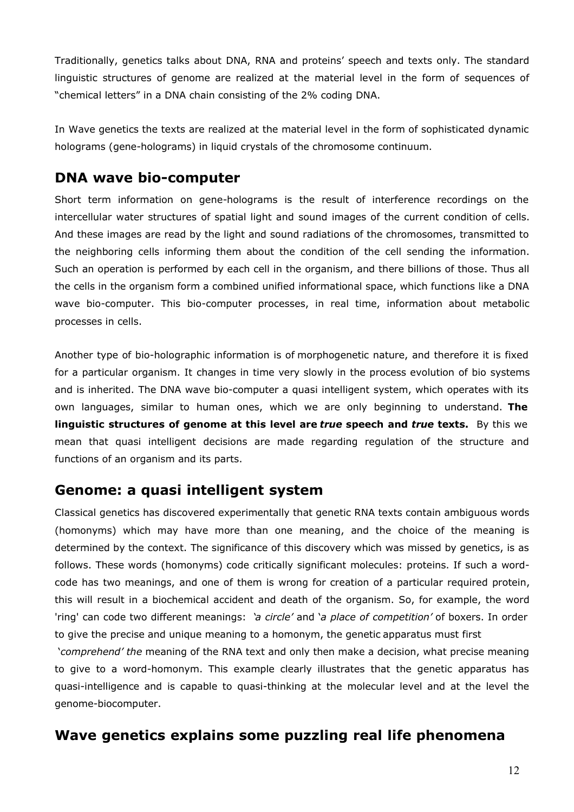Traditionally, genetics talks about DNA, RNA and proteins' speech and texts only. The standard linguistic structures of genome are realized at the material level in the form of sequences of "chemical letters" in a DNA chain consisting of the 2% coding DNA.

In Wave genetics the texts are realized at the material level in the form of sophisticated dynamic holograms (gene-holograms) in liquid crystals of the chromosome continuum.

#### **DNA wave bio-computer**

Short term information on gene-holograms is the result of interference recordings on the intercellular water structures of spatial light and sound images of the current condition of cells. And these images are read by the light and sound radiations of the chromosomes, transmitted to the neighboring cells informing them about the condition of the cell sending the information. Such an operation is performed by each cell in the organism, and there billions of those. Thus all the cells in the organism form a combined unified informational space, which functions like a DNA wave bio-computer. This bio-computer processes, in real time, information about metabolic processes in cells.

Another type of bio-holographic information is of morphogenetic nature, and therefore it is fixed for a particular organism. It changes in time very slowly in the process evolution of bio systems and is inherited. The DNA wave bio-computer a quasi intelligent system, which operates with its own languages, similar to human ones, which we are only beginning to understand. **The linguistic structures of genome at this level are** *true* **speech and** *true* **texts.** By this we mean that quasi intelligent decisions are made regarding regulation of the structure and functions of an organism and its parts.

#### **Genome: a quasi intelligent system**

Classical genetics has discovered experimentally that genetic RNA texts contain ambiguous words (homonyms) which may have more than one meaning, and the choice of the meaning is determined by the context. The significance of this discovery which was missed by genetics, is as follows. These words (homonyms) code critically significant molecules: proteins. If such a wordcode has two meanings, and one of them is wrong for creation of a particular required protein, this will result in a biochemical accident and death of the organism. So, for example, the word 'ring' can code two different meanings: '*a circle'* and '*a place of competition'* of boxers. In order to give the precise and unique meaning to a homonym, the genetic apparatus must first

 '*comprehend' the* meaning of the RNA text and only then make a decision, what precise meaning to give to a word-homonym. This example clearly illustrates that the genetic apparatus has quasi-intelligence and is capable to quasi-thinking at the molecular level and at the level the genome-biocomputer.

### **Wave genetics explains some puzzling real life phenomena**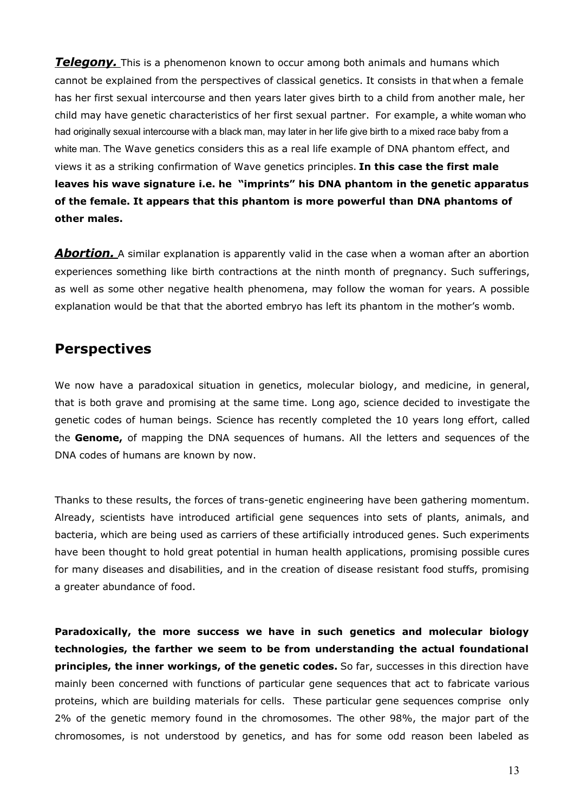**Telegony.** This is a phenomenon known to occur among both animals and humans which cannot be explained from the perspectives of classical genetics. It consists in that when a female has her first sexual intercourse and then years later gives birth to a child from another male, her child may have genetic characteristics of her first sexual partner. For example, a white woman who had originally sexual intercourse with a black man, may later in her life give birth to a mixed race baby from a white man. The Wave genetics considers this as a real life example of DNA phantom effect, and views it as a striking confirmation of Wave genetics principles. **In this case the first male leaves his wave signature i.e. he "imprints" his DNA phantom in the genetic apparatus of the female. It appears that this phantom is more powerful than DNA phantoms of other males.**

**Abortion.** A similar explanation is apparently valid in the case when a woman after an abortion experiences something like birth contractions at the ninth month of pregnancy. Such sufferings, as well as some other negative health phenomena, may follow the woman for years. A possible explanation would be that that the aborted embryo has left its phantom in the mother's womb.

#### **Perspectives**

We now have a paradoxical situation in genetics, molecular biology, and medicine, in general, that is both grave and promising at the same time. Long ago, science decided to investigate the genetic codes of human beings. Science has recently completed the 10 years long effort, called the **Genome,** of mapping the DNA sequences of humans. All the letters and sequences of the DNA codes of humans are known by now.

Thanks to these results, the forces of trans-genetic engineering have been gathering momentum. Already, scientists have introduced artificial gene sequences into sets of plants, animals, and bacteria, which are being used as carriers of these artificially introduced genes. Such experiments have been thought to hold great potential in human health applications, promising possible cures for many diseases and disabilities, and in the creation of disease resistant food stuffs, promising a greater abundance of food.

**Paradoxically, the more success we have in such genetics and molecular biology technologies, the farther we seem to be from understanding the actual foundational principles, the inner workings, of the genetic codes.** So far, successes in this direction have mainly been concerned with functions of particular gene sequences that act to fabricate various proteins, which are building materials for cells. These particular gene sequences comprise only 2% of the genetic memory found in the chromosomes. The other 98%, the major part of the chromosomes, is not understood by genetics, and has for some odd reason been labeled as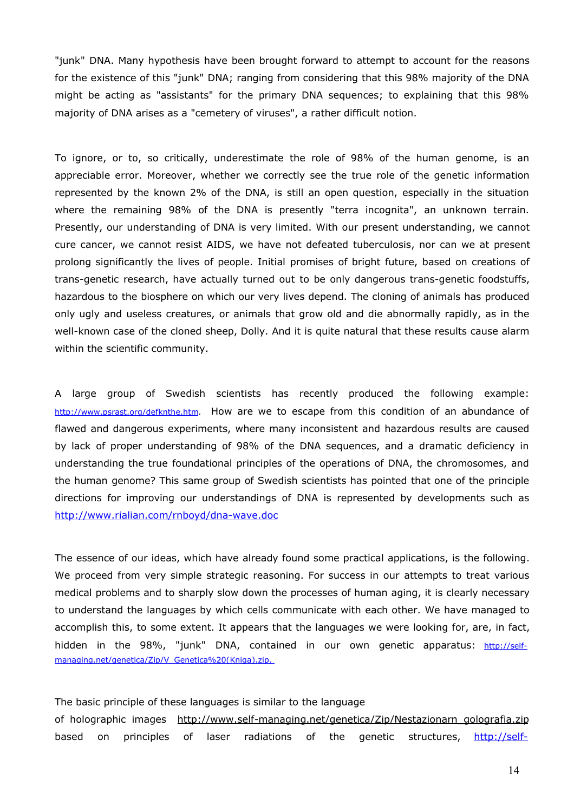"junk" DNA. Many hypothesis have been brought forward to attempt to account for the reasons for the existence of this "junk" DNA; ranging from considering that this 98% majority of the DNA might be acting as "assistants" for the primary DNA sequences; to explaining that this 98% majority of DNA arises as a "cemetery of viruses", a rather difficult notion.

To ignore, or to, so critically, underestimate the role of 98% of the human genome, is an appreciable error. Moreover, whether we correctly see the true role of the genetic information represented by the known 2% of the DNA, is still an open question, especially in the situation where the remaining 98% of the DNA is presently "terra incognita", an unknown terrain. Presently, our understanding of DNA is very limited. With our present understanding, we cannot cure cancer, we cannot resist AIDS, we have not defeated tuberculosis, nor can we at present prolong significantly the lives of people. Initial promises of bright future, based on creations of trans-genetic research, have actually turned out to be only dangerous trans-genetic foodstuffs, hazardous to the biosphere on which our very lives depend. The cloning of animals has produced only ugly and useless creatures, or animals that grow old and die abnormally rapidly, as in the well-known case of the cloned sheep, Dolly. And it is quite natural that these results cause alarm within the scientific community.

A large group of Swedish scientists has recently produced the following example: http://www.psrast.org/defknthe.htm. How are we to escape from this condition of an abundance of flawed and dangerous experiments, where many inconsistent and hazardous results are caused by lack of proper understanding of 98% of the DNA sequences, and a dramatic deficiency in understanding the true foundational principles of the operations of DNA, the chromosomes, and the human genome? This same group of Swedish scientists has pointed that one of the principle directions for improving our understandings of DNA is represented by developments such as http://www.rialian.com/rnboyd/dna-wave.doc

The essence of our ideas, which have already found some practical applications, is the following. We proceed from very simple strategic reasoning. For success in our attempts to treat various medical problems and to sharply slow down the processes of human aging, it is clearly necessary to understand the languages by which cells communicate with each other. We have managed to accomplish this, to some extent. It appears that the languages we were looking for, are, in fact, hidden in the 98%, "junk" DNA, contained in our own genetic apparatus: http://selfmanaging.net/genetica/Zip/V\_Genetica%20(Kniga).zip.

The basic principle of these languages is similar to the language of holographic images http://www.self-managing.net/genetica/Zip/Nestazionarn\_golografia.zip based on principles of laser radiations of the genetic structures, http://self